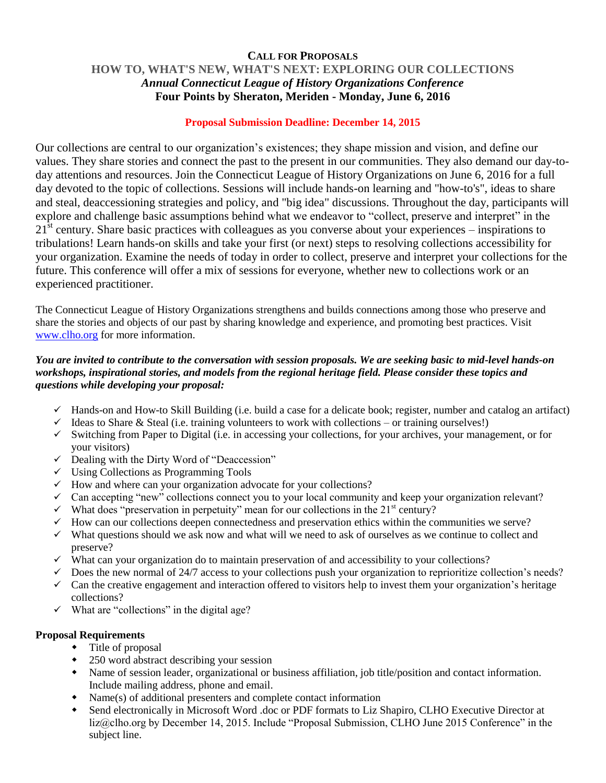## **CALL FOR PROPOSALS HOW TO, WHAT'S NEW, WHAT'S NEXT: EXPLORING OUR COLLECTIONS** *Annual Connecticut League of History Organizations Conference* **Four Points by Sheraton, Meriden - Monday, June 6, 2016**

## **Proposal Submission Deadline: December 14, 2015**

Our collections are central to our organization's existences; they shape mission and vision, and define our values. They share stories and connect the past to the present in our communities. They also demand our day-today attentions and resources. Join the Connecticut League of History Organizations on June 6, 2016 for a full day devoted to the topic of collections. Sessions will include hands-on learning and "how-to's", ideas to share and steal, deaccessioning strategies and policy, and "big idea" discussions. Throughout the day, participants will explore and challenge basic assumptions behind what we endeavor to "collect, preserve and interpret" in the  $21<sup>st</sup>$  century. Share basic practices with colleagues as you converse about your experiences – inspirations to tribulations! Learn hands-on skills and take your first (or next) steps to resolving collections accessibility for your organization. Examine the needs of today in order to collect, preserve and interpret your collections for the future. This conference will offer a mix of sessions for everyone, whether new to collections work or an experienced practitioner.

The Connecticut League of History Organizations strengthens and builds connections among those who preserve and share the stories and objects of our past by sharing knowledge and experience, and promoting best practices. Visit [www.clho.org](http://www.clho.org/) for more information.

## *You are invited to contribute to the conversation with session proposals. We are seeking basic to mid-level hands-on workshops, inspirational stories, and models from the regional heritage field. Please consider these topics and questions while developing your proposal:*

- $\checkmark$  Hands-on and How-to Skill Building (i.e. build a case for a delicate book; register, number and catalog an artifact)
- $\checkmark$  Ideas to Share & Steal (i.e. training volunteers to work with collections or training ourselves!)
- $\checkmark$  Switching from Paper to Digital (i.e. in accessing your collections, for your archives, your management, or for your visitors)
- $\checkmark$  Dealing with the Dirty Word of "Deaccession"
- $\checkmark$  Using Collections as Programming Tools
- $\checkmark$  How and where can your organization advocate for your collections?
- $\checkmark$  Can accepting "new" collections connect you to your local community and keep your organization relevant?
- $\checkmark$  What does "preservation in perpetuity" mean for our collections in the 21<sup>st</sup> century?
- $\checkmark$  How can our collections deepen connectedness and preservation ethics within the communities we serve?
- $\checkmark$  What questions should we ask now and what will we need to ask of ourselves as we continue to collect and preserve?
- $\checkmark$  What can your organization do to maintain preservation of and accessibility to your collections?
- $\checkmark$  Does the new normal of 24/7 access to your collections push your organization to reprioritize collection's needs?
- $\checkmark$  Can the creative engagement and interaction offered to visitors help to invest them your organization's heritage collections?
- $\checkmark$  What are "collections" in the digital age?

## **Proposal Requirements**

- Title of proposal
- 250 word abstract describing your session
- Name of session leader, organizational or business affiliation, job title/position and contact information. Include mailing address, phone and email.
- Name(s) of additional presenters and complete contact information
- Send electronically in Microsoft Word .doc or PDF formats to Liz Shapiro, CLHO Executive Director at liz@clho.org by December 14, 2015. Include "Proposal Submission, CLHO June 2015 Conference" in the subject line.